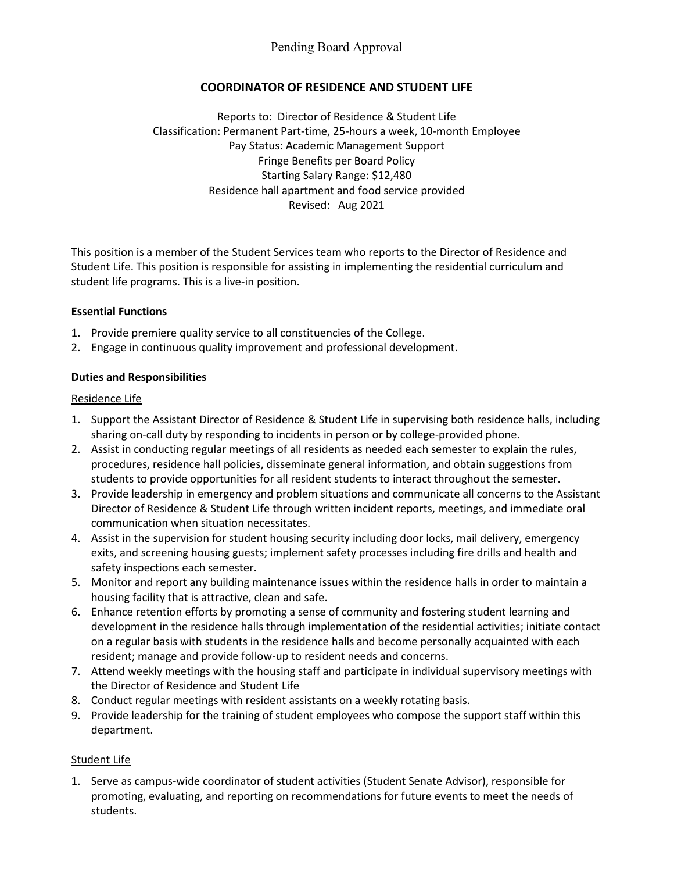# **COORDINATOR OF RESIDENCE AND STUDENT LIFE**

Reports to: Director of Residence & Student Life Classification: Permanent Part-time, 25-hours a week, 10-month Employee Pay Status: Academic Management Support Fringe Benefits per Board Policy Starting Salary Range: \$12,480 Residence hall apartment and food service provided Revised: Aug 2021

This position is a member of the Student Services team who reports to the Director of Residence and Student Life. This position is responsible for assisting in implementing the residential curriculum and student life programs. This is a live-in position.

## **Essential Functions**

- 1. Provide premiere quality service to all constituencies of the College.
- 2. Engage in continuous quality improvement and professional development.

## **Duties and Responsibilities**

## Residence Life

- 1. Support the Assistant Director of Residence & Student Life in supervising both residence halls, including sharing on-call duty by responding to incidents in person or by college-provided phone.
- 2. Assist in conducting regular meetings of all residents as needed each semester to explain the rules, procedures, residence hall policies, disseminate general information, and obtain suggestions from students to provide opportunities for all resident students to interact throughout the semester.
- 3. Provide leadership in emergency and problem situations and communicate all concerns to the Assistant Director of Residence & Student Life through written incident reports, meetings, and immediate oral communication when situation necessitates.
- 4. Assist in the supervision for student housing security including door locks, mail delivery, emergency exits, and screening housing guests; implement safety processes including fire drills and health and safety inspections each semester.
- 5. Monitor and report any building maintenance issues within the residence halls in order to maintain a housing facility that is attractive, clean and safe.
- 6. Enhance retention efforts by promoting a sense of community and fostering student learning and development in the residence halls through implementation of the residential activities; initiate contact on a regular basis with students in the residence halls and become personally acquainted with each resident; manage and provide follow-up to resident needs and concerns.
- 7. Attend weekly meetings with the housing staff and participate in individual supervisory meetings with the Director of Residence and Student Life
- 8. Conduct regular meetings with resident assistants on a weekly rotating basis.
- 9. Provide leadership for the training of student employees who compose the support staff within this department.

# Student Life

1. Serve as campus-wide coordinator of student activities (Student Senate Advisor), responsible for promoting, evaluating, and reporting on recommendations for future events to meet the needs of students.